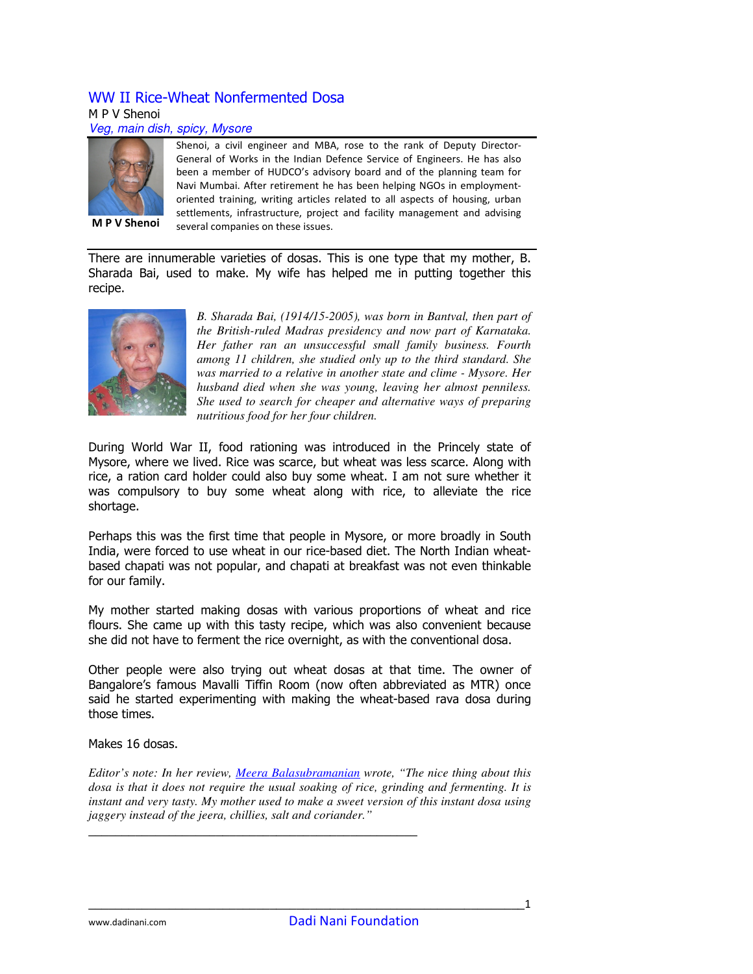# WW II Rice-Wheat Nonfermented Dosa

#### M P V Shenoi

#### Veg, main dish, spicy, Mysore



Shenoi, a civil engineer and MBA, rose to the rank of Deputy Director-General of Works in the Indian Defence Service of Engineers. He has also been a member of HUDCO's advisory board and of the planning team for Navi Mumbai. After retirement he has been helping NGOs in employmentoriented training, writing articles related to all aspects of housing, urban settlements, infrastructure, project and facility management and advising several companies on these issues.

There are innumerable varieties of dosas. This is one type that my mother, B. Sharada Bai, used to make. My wife has helped me in putting together this recipe.



*B. Sharada Bai, (1914/15-2005), was born in Bantval, then part of the British-ruled Madras presidency and now part of Karnataka. Her father ran an unsuccessful small family business. Fourth among 11 children, she studied only up to the third standard. She was married to a relative in another state and clime - Mysore. Her husband died when she was young, leaving her almost penniless. She used to search for cheaper and alternative ways of preparing nutritious food for her four children.* 

During World War II, food rationing was introduced in the Princely state of Mysore, where we lived. Rice was scarce, but wheat was less scarce. Along with rice, a ration card holder could also buy some wheat. I am not sure whether it was compulsory to buy some wheat along with rice, to alleviate the rice shortage.

Perhaps this was the first time that people in Mysore, or more broadly in South India, were forced to use wheat in our rice-based diet. The North Indian wheatbased chapati was not popular, and chapati at breakfast was not even thinkable for our family.

My mother started making dosas with various proportions of wheat and rice flours. She came up with this tasty recipe, which was also convenient because she did not have to ferment the rice overnight, as with the conventional dosa.

Other people were also trying out wheat dosas at that time. The owner of Bangalore's famous Mavalli Tiffin Room (now often abbreviated as MTR) once said he started experimenting with making the wheat-based rava dosa during those times.

Makes 16 dosas.

*Editor's note: In her review, Meera Balasubramanian wrote, "The nice thing about this dosa is that it does not require the usual soaking of rice, grinding and fermenting. It is instant and very tasty. My mother used to make a sweet version of this instant dosa using jaggery instead of the jeera, chillies, salt and coriander."* 

\_\_\_\_\_\_\_\_\_\_\_\_\_\_\_\_\_\_\_\_\_\_\_\_\_\_\_\_\_\_\_\_\_\_\_\_\_\_\_\_\_\_\_\_\_\_\_\_\_